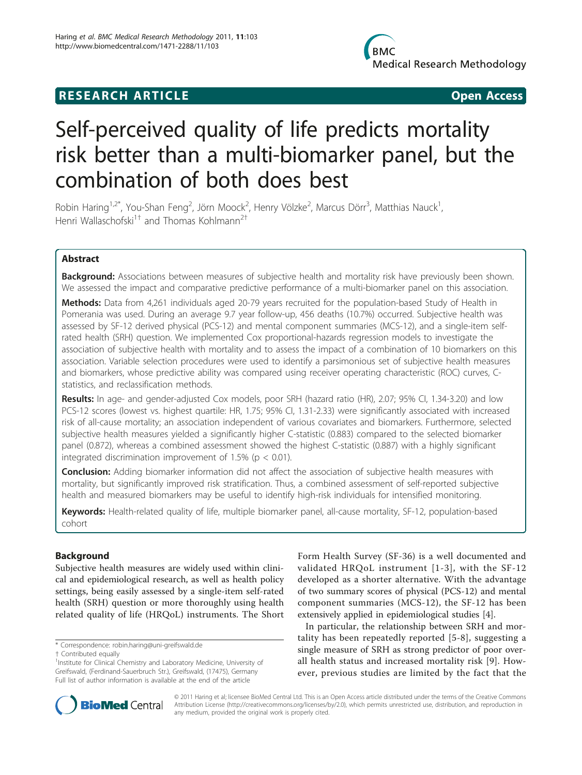## **RESEARCH ARTICLE Example 2018 12:00 Department of the Contract Open Access**

# Self-perceived quality of life predicts mortality risk better than a multi-biomarker panel, but the combination of both does best

Robin Haring $^{1,2^{\ast}}$ , You-Shan Feng $^2$ , Jörn Moock $^2$ , Henry Völzke $^2$ , Marcus Dörr $^3$ , Matthias Nauck $^1$ , Henri Wallaschofski<sup>1†</sup> and Thomas Kohlmann<sup>2†</sup>

## Abstract

**Background:** Associations between measures of subjective health and mortality risk have previously been shown. We assessed the impact and comparative predictive performance of a multi-biomarker panel on this association.

Methods: Data from 4,261 individuals aged 20-79 years recruited for the population-based Study of Health in Pomerania was used. During an average 9.7 year follow-up, 456 deaths (10.7%) occurred. Subjective health was assessed by SF-12 derived physical (PCS-12) and mental component summaries (MCS-12), and a single-item selfrated health (SRH) question. We implemented Cox proportional-hazards regression models to investigate the association of subjective health with mortality and to assess the impact of a combination of 10 biomarkers on this association. Variable selection procedures were used to identify a parsimonious set of subjective health measures and biomarkers, whose predictive ability was compared using receiver operating characteristic (ROC) curves, Cstatistics, and reclassification methods.

Results: In age- and gender-adjusted Cox models, poor SRH (hazard ratio (HR), 2.07; 95% CI, 1.34-3.20) and low PCS-12 scores (lowest vs. highest quartile: HR, 1.75; 95% CI, 1.31-2.33) were significantly associated with increased risk of all-cause mortality; an association independent of various covariates and biomarkers. Furthermore, selected subjective health measures yielded a significantly higher C-statistic (0.883) compared to the selected biomarker panel (0.872), whereas a combined assessment showed the highest C-statistic (0.887) with a highly significant integrated discrimination improvement of 1.5% ( $p < 0.01$ ).

**Conclusion:** Adding biomarker information did not affect the association of subjective health measures with mortality, but significantly improved risk stratification. Thus, a combined assessment of self-reported subjective health and measured biomarkers may be useful to identify high-risk individuals for intensified monitoring.

Keywords: Health-related quality of life, multiple biomarker panel, all-cause mortality, SF-12, population-based cohort

## Background

Subjective health measures are widely used within clinical and epidemiological research, as well as health policy settings, being easily assessed by a single-item self-rated health (SRH) question or more thoroughly using health related quality of life (HRQoL) instruments. The Short

\* Correspondence: [robin.haring@uni-greifswald.de](mailto:robin.haring@uni-greifswald.de)

† Contributed equally <sup>1</sup>

Form Health Survey (SF-36) is a well documented and validated HRQoL instrument [[1-3](#page-7-0)], with the SF-12 developed as a shorter alternative. With the advantage of two summary scores of physical (PCS-12) and mental component summaries (MCS-12), the SF-12 has been extensively applied in epidemiological studies [\[4](#page-8-0)].

In particular, the relationship between SRH and mortality has been repeatedly reported [[5-8\]](#page-8-0), suggesting a single measure of SRH as strong predictor of poor overall health status and increased mortality risk [[9](#page-8-0)]. However, previous studies are limited by the fact that the



© 2011 Haring et al; licensee BioMed Central Ltd. This is an Open Access article distributed under the terms of the Creative Commons Attribution License [\(http://creativecommons.org/licenses/by/2.0](http://creativecommons.org/licenses/by/2.0)), which permits unrestricted use, distribution, and reproduction in any medium, provided the original work is properly cited.

<sup>&</sup>lt;sup>1</sup>Institute for Clinical Chemistry and Laboratory Medicine, University of Greifswald, (Ferdinand-Sauerbruch Str.), Greifswald, (17475), Germany Full list of author information is available at the end of the article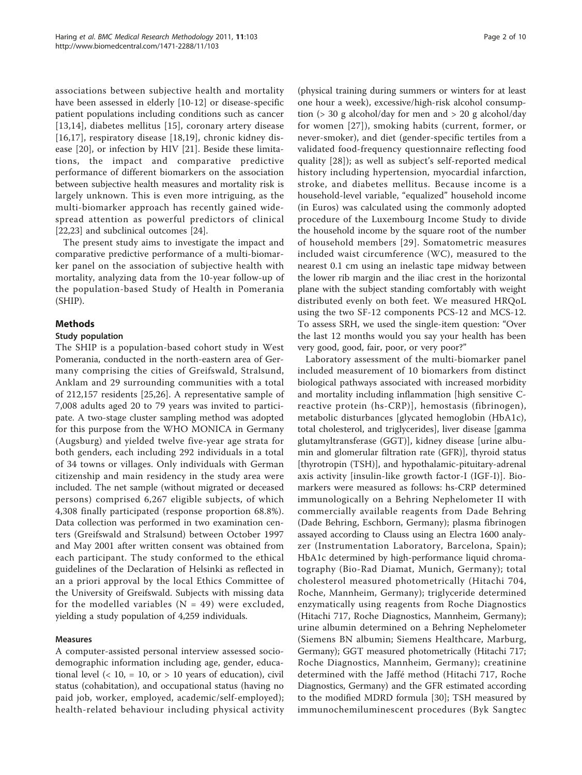associations between subjective health and mortality have been assessed in elderly [[10-12](#page-8-0)] or disease-specific patient populations including conditions such as cancer [[13](#page-8-0),[14\]](#page-8-0), diabetes mellitus [\[15\]](#page-8-0), coronary artery disease [[16,17](#page-8-0)], respiratory disease [[18,19](#page-8-0)], chronic kidney disease [[20\]](#page-8-0), or infection by HIV [\[21](#page-8-0)]. Beside these limitations, the impact and comparative predictive performance of different biomarkers on the association between subjective health measures and mortality risk is largely unknown. This is even more intriguing, as the multi-biomarker approach has recently gained widespread attention as powerful predictors of clinical [[22,23\]](#page-8-0) and subclinical outcomes [[24\]](#page-8-0).

The present study aims to investigate the impact and comparative predictive performance of a multi-biomarker panel on the association of subjective health with mortality, analyzing data from the 10-year follow-up of the population-based Study of Health in Pomerania (SHIP).

## Methods

#### Study population

The SHIP is a population-based cohort study in West Pomerania, conducted in the north-eastern area of Germany comprising the cities of Greifswald, Stralsund, Anklam and 29 surrounding communities with a total of 212,157 residents [\[25,26](#page-8-0)]. A representative sample of 7,008 adults aged 20 to 79 years was invited to participate. A two-stage cluster sampling method was adopted for this purpose from the WHO MONICA in Germany (Augsburg) and yielded twelve five-year age strata for both genders, each including 292 individuals in a total of 34 towns or villages. Only individuals with German citizenship and main residency in the study area were included. The net sample (without migrated or deceased persons) comprised 6,267 eligible subjects, of which 4,308 finally participated (response proportion 68.8%). Data collection was performed in two examination centers (Greifswald and Stralsund) between October 1997 and May 2001 after written consent was obtained from each participant. The study conformed to the ethical guidelines of the Declaration of Helsinki as reflected in an a priori approval by the local Ethics Committee of the University of Greifswald. Subjects with missing data for the modelled variables  $(N = 49)$  were excluded, yielding a study population of 4,259 individuals.

## Measures

A computer-assisted personal interview assessed sociodemographic information including age, gender, educational level ( $<$  10,  $=$  10, or  $>$  10 years of education), civil status (cohabitation), and occupational status (having no paid job, worker, employed, academic/self-employed); health-related behaviour including physical activity

(physical training during summers or winters for at least one hour a week), excessive/high-risk alcohol consumption (> 30 g alcohol/day for men and > 20 g alcohol/day for women [[27\]](#page-8-0)), smoking habits (current, former, or never-smoker), and diet (gender-specific tertiles from a validated food-frequency questionnaire reflecting food quality [[28\]](#page-8-0)); as well as subject's self-reported medical history including hypertension, myocardial infarction, stroke, and diabetes mellitus. Because income is a household-level variable, "equalized" household income (in Euros) was calculated using the commonly adopted procedure of the Luxembourg Income Study to divide the household income by the square root of the number of household members [[29\]](#page-8-0). Somatometric measures included waist circumference (WC), measured to the nearest 0.1 cm using an inelastic tape midway between the lower rib margin and the iliac crest in the horizontal plane with the subject standing comfortably with weight distributed evenly on both feet. We measured HRQoL using the two SF-12 components PCS-12 and MCS-12. To assess SRH, we used the single-item question: "Over the last 12 months would you say your health has been very good, good, fair, poor, or very poor?"

Laboratory assessment of the multi-biomarker panel included measurement of 10 biomarkers from distinct biological pathways associated with increased morbidity and mortality including inflammation [high sensitive Creactive protein (hs-CRP)], hemostasis (fibrinogen), metabolic disturbances [glycated hemoglobin (HbA1c), total cholesterol, and triglycerides], liver disease [gamma glutamyltransferase (GGT)], kidney disease [urine albumin and glomerular filtration rate (GFR)], thyroid status [thyrotropin (TSH)], and hypothalamic-pituitary-adrenal axis activity [insulin-like growth factor-I (IGF-I)]. Biomarkers were measured as follows: hs-CRP determined immunologically on a Behring Nephelometer II with commercially available reagents from Dade Behring (Dade Behring, Eschborn, Germany); plasma fibrinogen assayed according to Clauss using an Electra 1600 analyzer (Instrumentation Laboratory, Barcelona, Spain); HbA1c determined by high-performance liquid chromatography (Bio-Rad Diamat, Munich, Germany); total cholesterol measured photometrically (Hitachi 704, Roche, Mannheim, Germany); triglyceride determined enzymatically using reagents from Roche Diagnostics (Hitachi 717, Roche Diagnostics, Mannheim, Germany); urine albumin determined on a Behring Nephelometer (Siemens BN albumin; Siemens Healthcare, Marburg, Germany); GGT measured photometrically (Hitachi 717; Roche Diagnostics, Mannheim, Germany); creatinine determined with the Jaffé method (Hitachi 717, Roche Diagnostics, Germany) and the GFR estimated according to the modified MDRD formula [[30\]](#page-8-0); TSH measured by immunochemiluminescent procedures (Byk Sangtec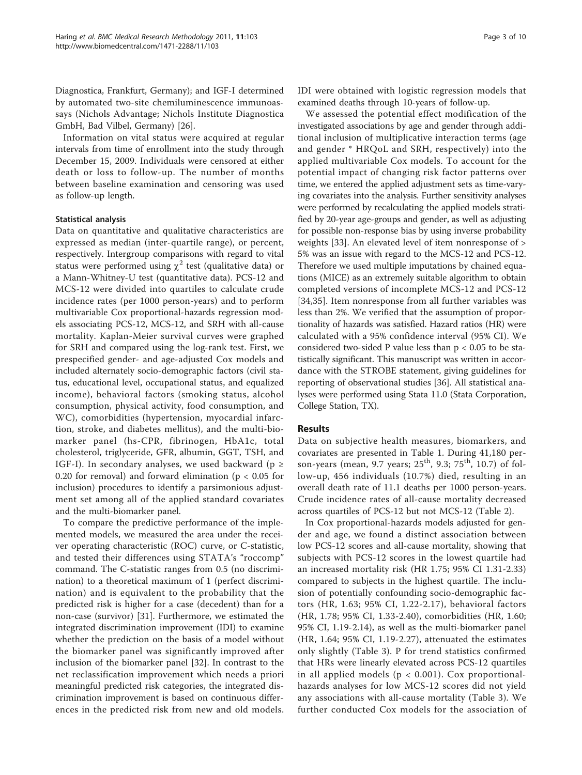Diagnostica, Frankfurt, Germany); and IGF-I determined by automated two-site chemiluminescence immunoassays (Nichols Advantage; Nichols Institute Diagnostica GmbH, Bad Vilbel, Germany) [[26\]](#page-8-0).

Information on vital status were acquired at regular intervals from time of enrollment into the study through December 15, 2009. Individuals were censored at either death or loss to follow-up. The number of months between baseline examination and censoring was used as follow-up length.

## Statistical analysis

Data on quantitative and qualitative characteristics are expressed as median (inter-quartile range), or percent, respectively. Intergroup comparisons with regard to vital status were performed using  $\chi^2$  test (qualitative data) or a Mann-Whitney-U test (quantitative data). PCS-12 and MCS-12 were divided into quartiles to calculate crude incidence rates (per 1000 person-years) and to perform multivariable Cox proportional-hazards regression models associating PCS-12, MCS-12, and SRH with all-cause mortality. Kaplan-Meier survival curves were graphed for SRH and compared using the log-rank test. First, we prespecified gender- and age-adjusted Cox models and included alternately socio-demographic factors (civil status, educational level, occupational status, and equalized income), behavioral factors (smoking status, alcohol consumption, physical activity, food consumption, and WC), comorbidities (hypertension, myocardial infarction, stroke, and diabetes mellitus), and the multi-biomarker panel (hs-CPR, fibrinogen, HbA1c, total cholesterol, triglyceride, GFR, albumin, GGT, TSH, and IGF-I). In secondary analyses, we used backward ( $p \ge$ 0.20 for removal) and forward elimination ( $p < 0.05$  for inclusion) procedures to identify a parsimonious adjustment set among all of the applied standard covariates and the multi-biomarker panel.

To compare the predictive performance of the implemented models, we measured the area under the receiver operating characteristic (ROC) curve, or C-statistic, and tested their differences using STATA's "roccomp" command. The C-statistic ranges from 0.5 (no discrimination) to a theoretical maximum of 1 (perfect discrimination) and is equivalent to the probability that the predicted risk is higher for a case (decedent) than for a non-case (survivor) [\[31](#page-8-0)]. Furthermore, we estimated the integrated discrimination improvement (IDI) to examine whether the prediction on the basis of a model without the biomarker panel was significantly improved after inclusion of the biomarker panel [[32\]](#page-8-0). In contrast to the net reclassification improvement which needs a priori meaningful predicted risk categories, the integrated discrimination improvement is based on continuous differences in the predicted risk from new and old models.

Page 3 of 10

IDI were obtained with logistic regression models that examined deaths through 10-years of follow-up.

We assessed the potential effect modification of the investigated associations by age and gender through additional inclusion of multiplicative interaction terms (age and gender \* HRQoL and SRH, respectively) into the applied multivariable Cox models. To account for the potential impact of changing risk factor patterns over time, we entered the applied adjustment sets as time-varying covariates into the analysis. Further sensitivity analyses were performed by recalculating the applied models stratified by 20-year age-groups and gender, as well as adjusting for possible non-response bias by using inverse probability weights [\[33](#page-8-0)]. An elevated level of item nonresponse of > 5% was an issue with regard to the MCS-12 and PCS-12. Therefore we used multiple imputations by chained equations (MICE) as an extremely suitable algorithm to obtain completed versions of incomplete MCS-12 and PCS-12 [[34,35](#page-8-0)]. Item nonresponse from all further variables was less than 2%. We verified that the assumption of proportionality of hazards was satisfied. Hazard ratios (HR) were calculated with a 95% confidence interval (95% CI). We considered two-sided P value less than  $p < 0.05$  to be statistically significant. This manuscript was written in accordance with the STROBE statement, giving guidelines for reporting of observational studies [\[36](#page-8-0)]. All statistical analyses were performed using Stata 11.0 (Stata Corporation, College Station, TX).

## Results

Data on subjective health measures, biomarkers, and covariates are presented in Table [1.](#page-3-0) During 41,180 person-years (mean, 9.7 years;  $25^{th}$ , 9.3;  $75^{th}$ , 10.7) of follow-up, 456 individuals (10.7%) died, resulting in an overall death rate of 11.1 deaths per 1000 person-years. Crude incidence rates of all-cause mortality decreased across quartiles of PCS-12 but not MCS-12 (Table [2](#page-4-0)).

In Cox proportional-hazards models adjusted for gender and age, we found a distinct association between low PCS-12 scores and all-cause mortality, showing that subjects with PCS-12 scores in the lowest quartile had an increased mortality risk (HR 1.75; 95% CI 1.31-2.33) compared to subjects in the highest quartile. The inclusion of potentially confounding socio-demographic factors (HR, 1.63; 95% CI, 1.22-2.17), behavioral factors (HR, 1.78; 95% CI, 1.33-2.40), comorbidities (HR, 1.60; 95% CI, 1.19-2.14), as well as the multi-biomarker panel (HR, 1.64; 95% CI, 1.19-2.27), attenuated the estimates only slightly (Table [3\)](#page-4-0). P for trend statistics confirmed that HRs were linearly elevated across PCS-12 quartiles in all applied models ( $p < 0.001$ ). Cox proportionalhazards analyses for low MCS-12 scores did not yield any associations with all-cause mortality (Table [3](#page-4-0)). We further conducted Cox models for the association of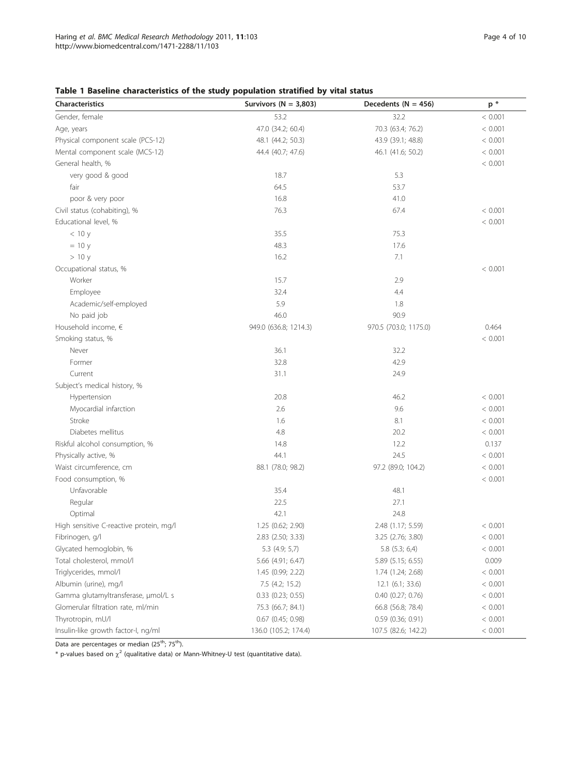## <span id="page-3-0"></span>Table 1 Baseline characteristics of the study population stratified by vital status

| <b>Characteristics</b>                  | Survivors ( $N = 3,803$ ) | Decedents ( $N = 456$ ) | $\mathsf{p}$ * |
|-----------------------------------------|---------------------------|-------------------------|----------------|
| Gender, female                          | 53.2                      | 32.2                    | < 0.001        |
| Age, years                              | 47.0 (34.2; 60.4)         | 70.3 (63.4; 76.2)       | < 0.001        |
| Physical component scale (PCS-12)       | 48.1 (44.2; 50.3)         | 43.9 (39.1; 48.8)       | < 0.001        |
| Mental component scale (MCS-12)         | 44.4 (40.7; 47.6)         | 46.1 (41.6; 50.2)       | < 0.001        |
| General health, %                       |                           |                         | < 0.001        |
| very good & good                        | 18.7                      | 5.3                     |                |
| fair                                    | 64.5                      | 53.7                    |                |
| poor & very poor                        | 16.8                      | 41.0                    |                |
| Civil status (cohabiting), %            | 76.3                      | 67.4                    | < 0.001        |
| Educational level, %                    |                           |                         | < 0.001        |
| < 10 y                                  | 35.5                      | 75.3                    |                |
| $= 10 y$                                | 48.3                      | 17.6                    |                |
| >10y                                    | 16.2                      | 7.1                     |                |
| Occupational status, %                  |                           |                         | < 0.001        |
| Worker                                  | 15.7                      | 2.9                     |                |
| Employee                                | 32.4                      | 4.4                     |                |
| Academic/self-employed                  | 5.9                       | 1.8                     |                |
| No paid job                             | 46.0                      | 90.9                    |                |
| Household income, €                     | 949.0 (636.8; 1214.3)     | 970.5 (703.0; 1175.0)   | 0.464          |
| Smoking status, %                       |                           |                         | < 0.001        |
| Never                                   | 36.1                      | 32.2                    |                |
| Former                                  | 32.8                      | 42.9                    |                |
| Current                                 | 31.1                      | 24.9                    |                |
| Subject's medical history, %            |                           |                         |                |
| Hypertension                            | 20.8                      | 46.2                    | < 0.001        |
| Myocardial infarction                   | 2.6                       | 9.6                     | < 0.001        |
| Stroke                                  | 1.6                       | 8.1                     | < 0.001        |
| Diabetes mellitus                       | 4.8                       | 20.2                    | < 0.001        |
| Riskful alcohol consumption, %          | 14.8                      | 12.2                    | 0.137          |
| Physically active, %                    | 44.1                      | 24.5                    | < 0.001        |
| Waist circumference, cm                 | 88.1 (78.0; 98.2)         | 97.2 (89.0; 104.2)      | < 0.001        |
| Food consumption, %                     |                           |                         | < 0.001        |
| Unfavorable                             | 35.4                      | 48.1                    |                |
| Regular                                 | 22.5                      | 27.1                    |                |
| Optimal                                 | 42.1                      | 24.8                    |                |
| High sensitive C-reactive protein, mg/l | 1.25 (0.62; 2.90)         | 2.48 (1.17; 5.59)       | < 0.001        |
| Fibrinogen, g/l                         | 2.83 (2.50; 3.33)         | 3.25 (2.76; 3.80)       | < 0.001        |
| Glycated hemoglobin, %                  | 5.3 (4.9; 5,7)            | $5.8$ $(5.3; 6,4)$      | < 0.001        |
| Total cholesterol, mmol/l               | 5.66 (4.91; 6.47)         | 5.89 (5.15; 6.55)       | 0.009          |
| Triglycerides, mmol/l                   | 1.45 (0.99; 2.22)         | 1.74 (1.24; 2.68)       | < 0.001        |
| Albumin (urine), mg/l                   | 7.5 (4.2; 15.2)           | $12.1$ (6.1; 33.6)      | < 0.001        |
| Gamma glutamyltransferase, µmol/L s     | $0.33$ $(0.23; 0.55)$     | 0.40 (0.27; 0.76)       | < 0.001        |
| Glomerular filtration rate, ml/min      | 75.3 (66.7; 84.1)         | 66.8 (56.8; 78.4)       | < 0.001        |
| Thyrotropin, mU/l                       | $0.67$ $(0.45; 0.98)$     | $0.59$ (0.36; 0.91)     | < 0.001        |
| Insulin-like growth factor-I, ng/ml     | 136.0 (105.2; 174.4)      | 107.5 (82.6; 142.2)     | < 0.001        |

Data are percentages or median (25<sup>th</sup>; 75<sup>th</sup>).

 $*$  p-values based on  $\chi^2$  (qualitative data) or Mann-Whitney-U test (quantitative data).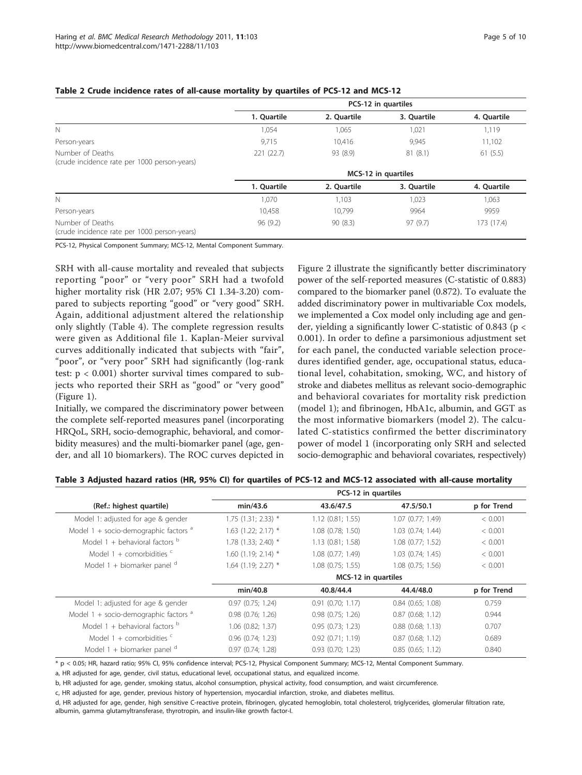|                                                                  | PCS-12 in quartiles |             |             |             |
|------------------------------------------------------------------|---------------------|-------------|-------------|-------------|
|                                                                  | 1. Quartile         | 2. Quartile | 3. Ouartile | 4. Quartile |
| N                                                                | 1,054               | 1,065       | 1,021       | 1,119       |
| Person-years                                                     | 9,715               | 10,416      | 9,945       | 11,102      |
| Number of Deaths<br>(crude incidence rate per 1000 person-years) | 221(22.7)           | 93 (8.9)    | 81(8.1)     | 61(5.5)     |
|                                                                  | MCS-12 in quartiles |             |             |             |
|                                                                  | 1. Quartile         | 2. Quartile | 3. Ouartile | 4. Quartile |
| N                                                                | 1,070               | 1,103       | 1,023       | 1,063       |
| Person-years                                                     | 10,458              | 10,799      | 9964        | 9959        |
| Number of Deaths<br>(crude incidence rate per 1000 person-years) | 96(9.2)             | 90(8.3)     | 97(9.7)     | 173 (17.4)  |

#### <span id="page-4-0"></span>Table 2 Crude incidence rates of all-cause mortality by quartiles of PCS-12 and MCS-12

PCS-12, Physical Component Summary; MCS-12, Mental Component Summary.

SRH with all-cause mortality and revealed that subjects reporting "poor" or "very poor" SRH had a twofold higher mortality risk (HR 2.07; 95% CI 1.34-3.20) compared to subjects reporting "good" or "very good" SRH. Again, additional adjustment altered the relationship only slightly (Table [4\)](#page-5-0). The complete regression results were given as Additional file [1](#page-7-0). Kaplan-Meier survival curves additionally indicated that subjects with "fair", "poor", or "very poor" SRH had significantly (log-rank test:  $p < 0.001$ ) shorter survival times compared to subjects who reported their SRH as "good" or "very good" (Figure [1\)](#page-5-0).

Initially, we compared the discriminatory power between the complete self-reported measures panel (incorporating HRQoL, SRH, socio-demographic, behavioral, and comorbidity measures) and the multi-biomarker panel (age, gender, and all 10 biomarkers). The ROC curves depicted in

Figure [2](#page-5-0) illustrate the significantly better discriminatory power of the self-reported measures (C-statistic of 0.883) compared to the biomarker panel (0.872). To evaluate the added discriminatory power in multivariable Cox models, we implemented a Cox model only including age and gender, yielding a significantly lower C-statistic of 0.843 (p < 0.001). In order to define a parsimonious adjustment set for each panel, the conducted variable selection procedures identified gender, age, occupational status, educational level, cohabitation, smoking, WC, and history of stroke and diabetes mellitus as relevant socio-demographic and behavioral covariates for mortality risk prediction (model 1); and fibrinogen, HbA1c, albumin, and GGT as the most informative biomarkers (model 2). The calculated C-statistics confirmed the better discriminatory power of model 1 (incorporating only SRH and selected socio-demographic and behavioral covariates, respectively)

PCS-12 in quartiles

|                                           | . == .=  -,           |                       |                       |             |
|-------------------------------------------|-----------------------|-----------------------|-----------------------|-------------|
| (Ref.: highest quartile)                  | min/43.6              | 43.6/47.5             | 47.5/50.1             | p for Trend |
| Model 1: adjusted for age & gender        | $1.75$ (1.31; 2.33) * | $1.12$ (0.81; 1.55)   | $1.07$ (0.77; 1.49)   | < 0.001     |
| Model $1 +$ socio-demographic factors $a$ | $1.63$ (1.22; 2.17) * | 1.08 (0.78; 1.50)     | $1.03$ $(0.74; 1.44)$ | < 0.001     |
| Model 1 + behavioral factors $b$          | 1.78 (1.33; 2.40) *   | $1.13$ $(0.81; 1.58)$ | 1.08 (0.77; 1.52)     | < 0.001     |
| Model 1 + comorbidities $\epsilon$        | $1.60$ (1.19; 2.14) * | 1.08 (0.77; 1.49)     | $1.03$ $(0.74; 1.45)$ | < 0.001     |
| Model 1 + biomarker panel $d$             | $1.64$ (1.19; 2.27) * | 1.08 (0.75; 1.55)     | 1.08 (0.75; 1.56)     | < 0.001     |
|                                           |                       | MCS-12 in quartiles   |                       |             |
|                                           | min/40.8              | 40.8/44.4             | 44.4/48.0             | p for Trend |
| Model 1: adjusted for age & gender        | $0.97$ $(0.75; 1.24)$ | $0.91$ $(0.70; 1.17)$ | $0.84$ (0.65; 1.08)   | 0.759       |
| Model $1 +$ socio-demographic factors $a$ | $0.98$ $(0.76; 1.26)$ | $0.98$ $(0.75; 1.26)$ | $0.87$ (0.68; 1.12)   | 0.944       |
| Model 1 + behavioral factors $^{\rm b}$   | $1.06$ $(0.82; 1.37)$ | $0.95$ $(0.73; 1.23)$ | $0.88$ $(0.68; 1.13)$ | 0.707       |
| Model 1 + comorbidities $\epsilon$        | $0.96$ $(0.74; 1.23)$ | $0.92$ $(0.71; 1.19)$ | $0.87$ (0.68; 1.12)   | 0.689       |
| Model 1 + biomarker panel $d$             | 0.97(0.74; 1.28)      | $0.93$ $(0.70; 1.23)$ | 0.85(0.65; 1.12)      | 0.840       |
|                                           |                       |                       |                       |             |

#### Table 3 Adjusted hazard ratios (HR, 95% CI) for quartiles of PCS-12 and MCS-12 associated with all-cause mortality

\* p < 0.05; HR, hazard ratio; 95% CI, 95% confidence interval; PCS-12, Physical Component Summary; MCS-12, Mental Component Summary.

a, HR adjusted for age, gender, civil status, educational level, occupational status, and equalized income.

b, HR adjusted for age, gender, smoking status, alcohol consumption, physical activity, food consumption, and waist circumference.

c, HR adjusted for age, gender, previous history of hypertension, myocardial infarction, stroke, and diabetes mellitus.

d, HR adjusted for age, gender, high sensitive C-reactive protein, fibrinogen, glycated hemoglobin, total cholesterol, triglycerides, glomerular filtration rate, albumin, gamma glutamyltransferase, thyrotropin, and insulin-like growth factor-I.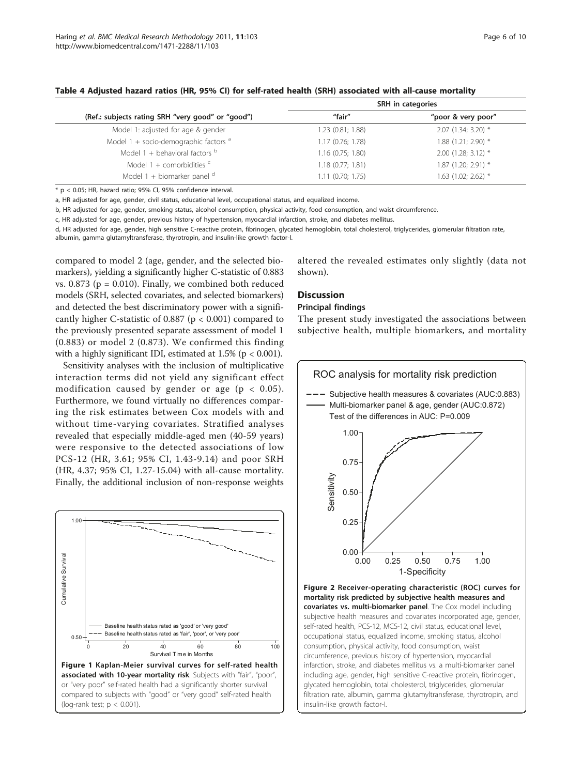|                                                   | SRH in categories     |                     |  |
|---------------------------------------------------|-----------------------|---------------------|--|
| (Ref.: subjects rating SRH "very good" or "good") | "fair"                | "poor & very poor"  |  |
| Model 1: adjusted for age & gender                | $1.23$ $(0.81; 1.88)$ | 2.07 (1.34; 3.20) * |  |
| Model 1 + socio-demographic factors $a$           | 1.17(0.76; 1.78)      | 1.88 (1.21; 2.90) * |  |
| Model 1 + behavioral factors $b$                  | $1.16$ (0.75; 1.80)   | 2.00 (1.28; 3.12) * |  |
| Model 1 + comorbidities $\epsilon$                | $1.18$ (0.77; 1.81)   | 1.87 (1.20; 2.91) * |  |
| Model 1 + biomarker panel $d$                     | $1.11$ (0.70; 1.75)   | 1.63 (1.02; 2.62) * |  |

<span id="page-5-0"></span>Table 4 Adjusted hazard ratios (HR, 95% CI) for self-rated health (SRH) associated with all-cause mortality

 $*$  p < 0.05; HR, hazard ratio; 95% CI, 95% confidence interval.

a, HR adjusted for age, gender, civil status, educational level, occupational status, and equalized income.

b, HR adjusted for age, gender, smoking status, alcohol consumption, physical activity, food consumption, and waist circumference.

c, HR adjusted for age, gender, previous history of hypertension, myocardial infarction, stroke, and diabetes mellitus.

d, HR adjusted for age, gender, high sensitive C-reactive protein, fibrinogen, glycated hemoglobin, total cholesterol, triglycerides, glomerular filtration rate, albumin, gamma glutamyltransferase, thyrotropin, and insulin-like growth factor-I.

compared to model 2 (age, gender, and the selected biomarkers), yielding a significantly higher C-statistic of 0.883 vs.  $0.873$  ( $p = 0.010$ ). Finally, we combined both reduced models (SRH, selected covariates, and selected biomarkers) and detected the best discriminatory power with a significantly higher C-statistic of 0.887 (p < 0.001) compared to the previously presented separate assessment of model 1 (0.883) or model 2 (0.873). We confirmed this finding with a highly significant IDI, estimated at  $1.5\%$  (p < 0.001).

Sensitivity analyses with the inclusion of multiplicative interaction terms did not yield any significant effect modification caused by gender or age ( $p < 0.05$ ). Furthermore, we found virtually no differences comparing the risk estimates between Cox models with and without time-varying covariates. Stratified analyses revealed that especially middle-aged men (40-59 years) were responsive to the detected associations of low PCS-12 (HR, 3.61; 95% CI, 1.43-9.14) and poor SRH (HR, 4.37; 95% CI, 1.27-15.04) with all-cause mortality. Finally, the additional inclusion of non-response weights



altered the revealed estimates only slightly (data not shown).

## Discussion

#### Principal findings

The present study investigated the associations between subjective health, multiple biomarkers, and mortality



glycated hemoglobin, total cholesterol, triglycerides, glomerular filtration rate, albumin, gamma glutamyltransferase, thyrotropin, and

insulin-like growth factor-I.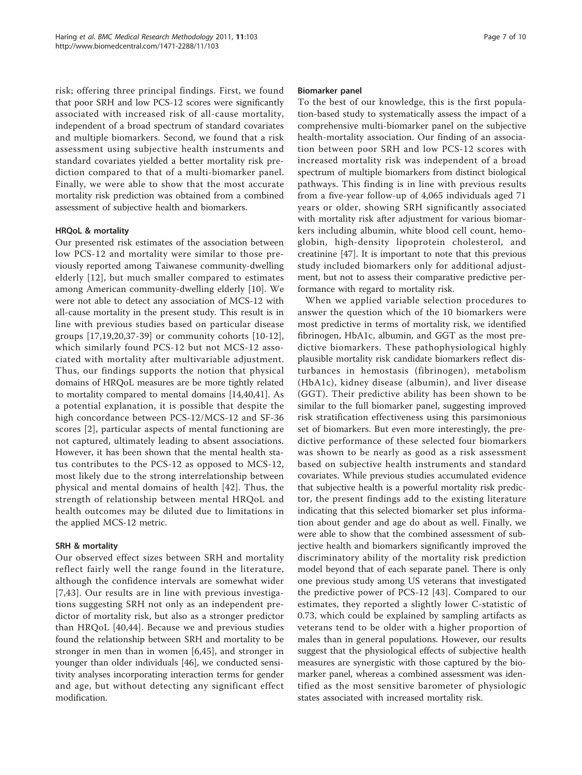risk; offering three principal findings. First, we found that poor SRH and low PCS-12 scores were significantly associated with increased risk of all-cause mortality, independent of a broad spectrum of standard covariates and multiple biomarkers. Second, we found that a risk assessment using subjective health instruments and standard covariates yielded a better mortality risk prediction compared to that of a multi-biomarker panel. Finally, we were able to show that the most accurate mortality risk prediction was obtained from a combined assessment of subjective health and biomarkers.

## HRQoL & mortality

Our presented risk estimates of the association between low PCS-12 and mortality were similar to those previously reported among Taiwanese community-dwelling elderly [[12\]](#page-8-0), but much smaller compared to estimates among American community-dwelling elderly [\[10](#page-8-0)]. We were not able to detect any association of MCS-12 with all-cause mortality in the present study. This result is in line with previous studies based on particular disease groups [[17,19](#page-8-0),[20,37](#page-8-0)-[39\]](#page-8-0) or community cohorts [\[10](#page-8-0)-[12](#page-8-0)], which similarly found PCS-12 but not MCS-12 associated with mortality after multivariable adjustment. Thus, our findings supports the notion that physical domains of HRQoL measures are be more tightly related to mortality compared to mental domains [\[14,40,41](#page-8-0)]. As a potential explanation, it is possible that despite the high concordance between PCS-12/MCS-12 and SF-36 scores [[2\]](#page-7-0), particular aspects of mental functioning are not captured, ultimately leading to absent associations. However, it has been shown that the mental health status contributes to the PCS-12 as opposed to MCS-12, most likely due to the strong interrelationship between physical and mental domains of health [\[42\]](#page-9-0). Thus, the strength of relationship between mental HRQoL and health outcomes may be diluted due to limitations in the applied MCS-12 metric.

## SRH & mortality

Our observed effect sizes between SRH and mortality reflect fairly well the range found in the literature, although the confidence intervals are somewhat wider [[7](#page-8-0),[43\]](#page-9-0). Our results are in line with previous investigations suggesting SRH not only as an independent predictor of mortality risk, but also as a stronger predictor than HRQoL [[40,](#page-8-0)[44](#page-9-0)]. Because we and previous studies found the relationship between SRH and mortality to be stronger in men than in women [\[6](#page-8-0)[,45\]](#page-9-0), and stronger in younger than older individuals [[46](#page-9-0)], we conducted sensitivity analyses incorporating interaction terms for gender and age, but without detecting any significant effect modification.

## Biomarker panel

To the best of our knowledge, this is the first population-based study to systematically assess the impact of a comprehensive multi-biomarker panel on the subjective health-mortality association. Our finding of an association between poor SRH and low PCS-12 scores with increased mortality risk was independent of a broad spectrum of multiple biomarkers from distinct biological pathways. This finding is in line with previous results from a five-year follow-up of 4,065 individuals aged 71 years or older, showing SRH significantly associated with mortality risk after adjustment for various biomarkers including albumin, white blood cell count, hemoglobin, high-density lipoprotein cholesterol, and creatinine [[47](#page-9-0)]. It is important to note that this previous study included biomarkers only for additional adjustment, but not to assess their comparative predictive performance with regard to mortality risk.

When we applied variable selection procedures to answer the question which of the 10 biomarkers were most predictive in terms of mortality risk, we identified fibrinogen, HbA1c, albumin, and GGT as the most predictive biomarkers. These pathophysiological highly plausible mortality risk candidate biomarkers reflect disturbances in hemostasis (fibrinogen), metabolism (HbA1c), kidney disease (albumin), and liver disease (GGT). Their predictive ability has been shown to be similar to the full biomarker panel, suggesting improved risk stratification effectiveness using this parsimonious set of biomarkers. But even more interestingly, the predictive performance of these selected four biomarkers was shown to be nearly as good as a risk assessment based on subjective health instruments and standard covariates. While previous studies accumulated evidence that subjective health is a powerful mortality risk predictor, the present findings add to the existing literature indicating that this selected biomarker set plus information about gender and age do about as well. Finally, we were able to show that the combined assessment of subjective health and biomarkers significantly improved the discriminatory ability of the mortality risk prediction model beyond that of each separate panel. There is only one previous study among US veterans that investigated the predictive power of PCS-12 [[43\]](#page-9-0). Compared to our estimates, they reported a slightly lower C-statistic of 0.73, which could be explained by sampling artifacts as veterans tend to be older with a higher proportion of males than in general populations. However, our results suggest that the physiological effects of subjective health measures are synergistic with those captured by the biomarker panel, whereas a combined assessment was identified as the most sensitive barometer of physiologic states associated with increased mortality risk.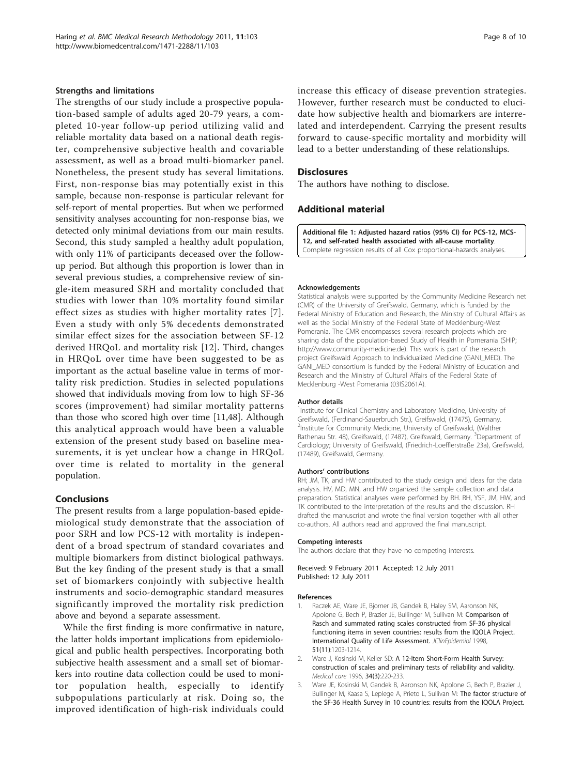#### <span id="page-7-0"></span>Strengths and limitations

The strengths of our study include a prospective population-based sample of adults aged 20-79 years, a completed 10-year follow-up period utilizing valid and reliable mortality data based on a national death register, comprehensive subjective health and covariable assessment, as well as a broad multi-biomarker panel. Nonetheless, the present study has several limitations. First, non-response bias may potentially exist in this sample, because non-response is particular relevant for self-report of mental properties. But when we performed sensitivity analyses accounting for non-response bias, we detected only minimal deviations from our main results. Second, this study sampled a healthy adult population, with only 11% of participants deceased over the followup period. But although this proportion is lower than in several previous studies, a comprehensive review of single-item measured SRH and mortality concluded that studies with lower than 10% mortality found similar effect sizes as studies with higher mortality rates [[7\]](#page-8-0). Even a study with only 5% decedents demonstrated similar effect sizes for the association between SF-12 derived HRQoL and mortality risk [[12](#page-8-0)]. Third, changes in HRQoL over time have been suggested to be as important as the actual baseline value in terms of mortality risk prediction. Studies in selected populations showed that individuals moving from low to high SF-36 scores (improvement) had similar mortality patterns than those who scored high over time [\[11](#page-8-0)[,48](#page-9-0)]. Although this analytical approach would have been a valuable extension of the present study based on baseline measurements, it is yet unclear how a change in HRQoL over time is related to mortality in the general population.

#### Conclusions

The present results from a large population-based epidemiological study demonstrate that the association of poor SRH and low PCS-12 with mortality is independent of a broad spectrum of standard covariates and multiple biomarkers from distinct biological pathways. But the key finding of the present study is that a small set of biomarkers conjointly with subjective health instruments and socio-demographic standard measures significantly improved the mortality risk prediction above and beyond a separate assessment.

While the first finding is more confirmative in nature, the latter holds important implications from epidemiological and public health perspectives. Incorporating both subjective health assessment and a small set of biomarkers into routine data collection could be used to monitor population health, especially to identify subpopulations particularly at risk. Doing so, the improved identification of high-risk individuals could

increase this efficacy of disease prevention strategies. However, further research must be conducted to elucidate how subjective health and biomarkers are interrelated and interdependent. Carrying the present results forward to cause-specific mortality and morbidity will lead to a better understanding of these relationships.

#### **Disclosures**

The authors have nothing to disclose.

#### Additional material

[Additional file 1: A](http://www.biomedcentral.com/content/supplementary/1471-2288-11-103-S1.PDF)djusted hazard ratios (95% CI) for PCS-12, MCS-12, and self-rated health associated with all-cause mortality. Complete regression results of all Cox proportional-hazards analyses.

#### Acknowledgements

Statistical analysis were supported by the Community Medicine Research net (CMR) of the University of Greifswald, Germany, which is funded by the Federal Ministry of Education and Research, the Ministry of Cultural Affairs as well as the Social Ministry of the Federal State of Mecklenburg-West Pomerania. The CMR encompasses several research projects which are sharing data of the population-based Study of Health in Pomerania (SHIP; <http://www.community-medicine.de>). This work is part of the research project Greifswald Approach to Individualized Medicine (GANI\_MED). The GANI\_MED consortium is funded by the Federal Ministry of Education and Research and the Ministry of Cultural Affairs of the Federal State of Mecklenburg -West Pomerania (03IS2061A).

#### Author details

<sup>1</sup>Institute for Clinical Chemistry and Laboratory Medicine, University of Greifswald, (Ferdinand-Sauerbruch Str.), Greifswald, (17475), Germany. <sup>2</sup>Institute for Community Medicine, University of Greifswald, (Walther Rathenau Str. 48), Greifswald, (17487), Greifswald, Germany. <sup>3</sup>Department of Cardiology; University of Greifswald, (Friedrich-Loefflerstraße 23a), Greifswald, (17489), Greifswald, Germany.

#### Authors' contributions

RH; JM, TK, and HW contributed to the study design and ideas for the data analysis. HV, MD, MN, and HW organized the sample collection and data preparation. Statistical analyses were performed by RH. RH, YSF, JM, HW, and TK contributed to the interpretation of the results and the discussion. RH drafted the manuscript and wrote the final version together with all other co-authors. All authors read and approved the final manuscript.

#### Competing interests

The authors declare that they have no competing interests.

Received: 9 February 2011 Accepted: 12 July 2011 Published: 12 July 2011

#### References

- 1. Raczek AE, Ware JE, Bjorner JB, Gandek B, Haley SM, Aaronson NK, Apolone G, Bech P, Brazier JE, Bullinger M, Sullivan M: Comparison of Rasch and summated rating scales constructed from SF-36 physical functioning items in seven countries: results from the IQOLA Project. International Quality of Life Assessment. JClinEpidemiol 1998, 51(11):1203-1214.
- 2. Ware J, Kosinski M, Keller SD: [A 12-Item Short-Form Health Survey:](http://www.ncbi.nlm.nih.gov/pubmed/8628042?dopt=Abstract) [construction of scales and preliminary tests of reliability and validity.](http://www.ncbi.nlm.nih.gov/pubmed/8628042?dopt=Abstract) Medical care 1996, 34(3):220-233.
- Ware JE, Kosinski M, Gandek B, Aaronson NK, Apolone G, Bech P, Brazier J, Bullinger M, Kaasa S, Leplege A, Prieto L, Sullivan M: The factor structure of the SF-36 Health Survey in 10 countries: results from the IQOLA Project.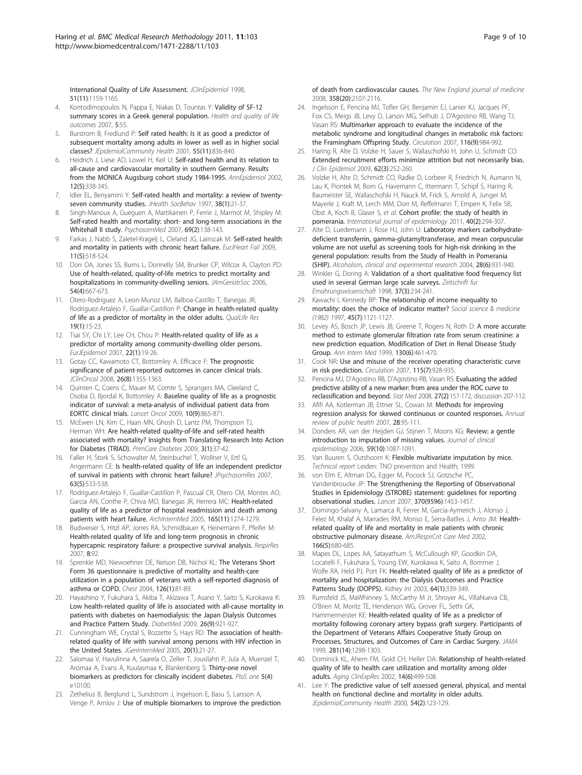<span id="page-8-0"></span>International Quality of Life Assessment. JClinEpidemiol 1998. 51(11):1159-1165.

- 4. Kontodimopoulos N, Pappa E, Niakas D, Tountas Y: [Validity of SF-12](http://www.ncbi.nlm.nih.gov/pubmed/17900374?dopt=Abstract) [summary scores in a Greek general population.](http://www.ncbi.nlm.nih.gov/pubmed/17900374?dopt=Abstract) Health and quality of life outcomes 2007, 5:55.
- Burstrom B, Fredlund P: Self rated health: Is it as good a predictor of subsequent mortality among adults in lower as well as in higher social classes? JEpidemiolCommunity Health 2001, 55(11):836-840.
- Heidrich J, Liese AD, Lowel H, Keil U: Self-rated health and its relation to all-cause and cardiovascular mortality in southern Germany. Results from the MONICA Augsburg cohort study 1984-1995. AnnEpidemiol 2002, 12(5):338-345.
- 7. Idler EL, Benyamini Y: Self-rated health and mortality: a review of twentyseven community studies. JHealth SocBehav 1997, 38(1):21-37.
- 8. Singh-Manoux A, Gueguen A, Martikainen P, Ferrie J, Marmot M, Shipley M: Self-rated health and mortality: short- and long-term associations in the Whitehall II study. PsychosomMed 2007, 69(2):138-143.
- 9. Farkas J, Nabb S, Zaletel-Kragelj L, Cleland JG, Lainscak M: Self-rated health and mortality in patients with chronic heart failure. EurJHeart Fail 2009, 11(5):518-524.
- 10. Dorr DA, Jones SS, Burns L, Donnelly SM, Brunker CP, Wilcox A, Clayton PD: Use of health-related, quality-of-life metrics to predict mortality and hospitalizations in community-dwelling seniors. JAmGeriatrSoc 2006, 54(4):667-673.
- 11. Otero-Rodriguez A, Leon-Munoz LM, Balboa-Castillo T, Banegas JR, Rodriguez-Artalejo F, Guallar-Castillon P: Change in health-related quality of life as a predictor of mortality in the older adults. QualLife Res 19(1):15-23.
- 12. Tsai SY, Chi LY, Lee CH, Chou P: Health-related quality of life as a predictor of mortality among community-dwelling older persons. EurJEpidemiol 2007, 22(1):19-26.
- 13. Gotay CC, Kawamoto CT, Bottomley A, Efficace F: The prognostic significance of patient-reported outcomes in cancer clinical trials. JClinOncol 2008, 26(8):1355-1363.
- 14. Quinten C, Coens C, Mauer M, Comte S, Sprangers MA, Cleeland C, Osoba D, Bjordal K, Bottomley A: [Baseline quality of life as a prognostic](http://www.ncbi.nlm.nih.gov/pubmed/19695956?dopt=Abstract) [indicator of survival: a meta-analysis of individual patient data from](http://www.ncbi.nlm.nih.gov/pubmed/19695956?dopt=Abstract) [EORTC clinical trials.](http://www.ncbi.nlm.nih.gov/pubmed/19695956?dopt=Abstract) Lancet Oncol 2009, 10(9):865-871.
- 15. McEwen LN, Kim C, Haan MN, Ghosh D, Lantz PM, Thompson TJ, Herman WH: Are health-related quality-of-life and self-rated health associated with mortality? Insights from Translating Research Into Action for Diabetes (TRIAD). PrimCare Diabetes 2009, 3(1):37-42.
- 16. Faller H, Stork S, Schowalter M, Steinbuchel T, Wollner V, Ertl G, Angermann CE: Is health-related quality of life an independent predictor of survival in patients with chronic heart failure? JPsychosomRes 2007, 63(5):533-538.
- 17. Rodriguez-Artalejo F, Guallar-Castillon P, Pascual CR, Otero CM, Montes AO, Garcia AN, Conthe P, Chiva MO, Banegas JR, Herrera MC: Health-related quality of life as a predictor of hospital readmission and death among patients with heart failure. ArchInternMed 2005, 165(11):1274-1279.
- 18. Budweiser S, Hitzl AP, Jorres RA, Schmidbauer K, Heinemann F, Pfeifer M: Health-related quality of life and long-term prognosis in chronic hypercapnic respiratory failure: a prospective survival analysis. RespirRes 2007, 8:92.
- 19. Sprenkle MD, Niewoehner DE, Nelson DB, Nichol KL: [The Veterans Short](http://www.ncbi.nlm.nih.gov/pubmed/15249446?dopt=Abstract) [Form 36 questionnaire is predictive of mortality and health-care](http://www.ncbi.nlm.nih.gov/pubmed/15249446?dopt=Abstract) [utilization in a population of veterans with a self-reported diagnosis of](http://www.ncbi.nlm.nih.gov/pubmed/15249446?dopt=Abstract) [asthma or COPD.](http://www.ncbi.nlm.nih.gov/pubmed/15249446?dopt=Abstract) Chest 2004, 126(1):81-89.
- 20. Hayashino Y, Fukuhara S, Akiba T, Akizawa T, Asano Y, Saito S, Kurokawa K: Low health-related quality of life is associated with all-cause mortality in patients with diabetes on haemodialysis: the Japan Dialysis Outcomes and Practice Pattern Study. DiabetMed 2009, 26(9):921-927.
- 21. Cunningham WE, Crystal S, Bozzette S, Hays RD: The association of healthrelated quality of life with survival among persons with HIV infection in the United States. JGenInternMed 2005, 20(1):21-27.
- 22. Salomaa V, Havulinna A, Saarela O, Zeller T, Jousilahti P, Jula A, Muenzel T, Aromaa A, Evans A, Kuulasmaa K, Blankenberg S: Thirty-one novel biomarkers as predictors for clinically incident diabetes. PloS one 5(4): e10100.
- 23. Zethelius B, Berglund L, Sundstrom J, Ingelsson E, Basu S, Larsson A, Venge P, Arnlov J: [Use of multiple biomarkers to improve the prediction](http://www.ncbi.nlm.nih.gov/pubmed/18480203?dopt=Abstract)

[of death from cardiovascular causes.](http://www.ncbi.nlm.nih.gov/pubmed/18480203?dopt=Abstract) The New England journal of medicine 2008, 358(20):2107-2116.

- 24. Ingelsson E, Pencina MJ, Tofler GH, Benjamin EJ, Lanier KJ, Jacques PF, Fox CS, Meigs JB, Levy D, Larson MG, Selhub J, D'Agostino RB, Wang TJ, Vasan RS: [Multimarker approach to evaluate the incidence of the](http://www.ncbi.nlm.nih.gov/pubmed/17698726?dopt=Abstract) [metabolic syndrome and longitudinal changes in metabolic risk factors:](http://www.ncbi.nlm.nih.gov/pubmed/17698726?dopt=Abstract) [the Framingham Offspring Study.](http://www.ncbi.nlm.nih.gov/pubmed/17698726?dopt=Abstract) Circulation 2007, 116(9):984-992.
- 25. Haring R, Alte D, Volzke H, Sauer S, Wallaschofski H, John U, Schmidt CO: [Extended recruitment efforts minimize attrition but not necessarily bias.](http://www.ncbi.nlm.nih.gov/pubmed/18834716?dopt=Abstract) J Clin Epidemiol 2009, 62(3):252-260.
- 26. Volzke H, Alte D, Schmidt CO, Radke D, Lorbeer R, Friedrich N, Aumann N, Lau K, Piontek M, Born G, Havemann C, Ittermann T, Schipf S, Haring R, Baumeister SE, Wallaschofski H, Nauck M, Frick S, Arnold A, Junger M, Mayerle J, Kraft M, Lerch MM, Dorr M, Reffelmann T, Empen K, Felix SB, Obst A, Koch B, Glaser S, et al: [Cohort profile: the study of health in](http://www.ncbi.nlm.nih.gov/pubmed/20167617?dopt=Abstract) [pomerania.](http://www.ncbi.nlm.nih.gov/pubmed/20167617?dopt=Abstract) International journal of epidemiology 2011, 40(2):294-307.
- 27. Alte D, Luedemann J, Rose HJ, John U: [Laboratory markers carbohydrate](http://www.ncbi.nlm.nih.gov/pubmed/15201636?dopt=Abstract)[deficient transferrin, gamma-glutamyltransferase, and mean corpuscular](http://www.ncbi.nlm.nih.gov/pubmed/15201636?dopt=Abstract) [volume are not useful as screening tools for high-risk drinking in the](http://www.ncbi.nlm.nih.gov/pubmed/15201636?dopt=Abstract) [general population: results from the Study of Health in Pomerania](http://www.ncbi.nlm.nih.gov/pubmed/15201636?dopt=Abstract) [\(SHIP\).](http://www.ncbi.nlm.nih.gov/pubmed/15201636?dopt=Abstract) Alcoholism, clinical and experimental research 2004, 28(6):931-940.
- 28. Winkler G, Doring A: [Validation of a short qualitative food frequency list](http://www.ncbi.nlm.nih.gov/pubmed/9800314?dopt=Abstract) [used in several German large scale surveys.](http://www.ncbi.nlm.nih.gov/pubmed/9800314?dopt=Abstract) Zeitschrift fur Ernahrungswissenschaft 1998, 37(3):234-241.
- 29. Kawachi I, Kennedy BP: [The relationship of income inequality to](http://www.ncbi.nlm.nih.gov/pubmed/21751439?dopt=Abstract) [mortality: does the choice of indicator matter?](http://www.ncbi.nlm.nih.gov/pubmed/21751439?dopt=Abstract) Social science & medicine (1982) 1997, 45(7):1121-1127.
- 30. Levey AS, Bosch JP, Lewis JB, Greene T, Rogers N, Roth D: [A more accurate](http://www.ncbi.nlm.nih.gov/pubmed/10075613?dopt=Abstract) [method to estimate glomerular filtration rate from serum creatinine: a](http://www.ncbi.nlm.nih.gov/pubmed/10075613?dopt=Abstract) [new prediction equation. Modification of Diet in Renal Disease Study](http://www.ncbi.nlm.nih.gov/pubmed/10075613?dopt=Abstract) [Group.](http://www.ncbi.nlm.nih.gov/pubmed/10075613?dopt=Abstract) Ann Intern Med 1999, 130(6):461-470.
- 31. Cook NR: [Use and misuse of the receiver operating characteristic curve](http://www.ncbi.nlm.nih.gov/pubmed/17309939?dopt=Abstract) [in risk prediction.](http://www.ncbi.nlm.nih.gov/pubmed/17309939?dopt=Abstract) Circulation 2007, 115(7):928-935.
- 32. Pencina MJ, D'Agostino RB, D'Agostino RB, Vasan RS: [Evaluating the added](http://www.ncbi.nlm.nih.gov/pubmed/17569110?dopt=Abstract) [predictive ability of a new marker: from area under the ROC curve to](http://www.ncbi.nlm.nih.gov/pubmed/17569110?dopt=Abstract) [reclassification and beyond.](http://www.ncbi.nlm.nih.gov/pubmed/17569110?dopt=Abstract) Stat Med 2008, 27(2):157-172, discussion 207-112.
- 33. Afifi AA, Kotlerman JB, Ettner SL, Cowan M: [Methods for improving](http://www.ncbi.nlm.nih.gov/pubmed/17112339?dopt=Abstract) [regression analysis for skewed continuous or counted responses.](http://www.ncbi.nlm.nih.gov/pubmed/17112339?dopt=Abstract) Annual review of public health 2007, 28:95-111.
- 34. Donders AR, van der Heijden GJ, Stijnen T, Moons KG: [Review: a gentle](http://www.ncbi.nlm.nih.gov/pubmed/16980149?dopt=Abstract) [introduction to imputation of missing values.](http://www.ncbi.nlm.nih.gov/pubmed/16980149?dopt=Abstract) Journal of clinical epidemiology 2006, 59(10):1087-1091.
- 35. Van Buuren S, Outshoorn K: Flexible multivariate imputation by mice. Technical report Leiden: TNO prevention and Health; 1999.
- 36. von Elm E, Altman DG, Egger M, Pocock SJ, Gotzsche PC, Vandenbroucke JP: [The Strengthening the Reporting of Observational](http://www.ncbi.nlm.nih.gov/pubmed/18064739?dopt=Abstract) [Studies in Epidemiology \(STROBE\) statement: guidelines for reporting](http://www.ncbi.nlm.nih.gov/pubmed/18064739?dopt=Abstract) [observational studies.](http://www.ncbi.nlm.nih.gov/pubmed/18064739?dopt=Abstract) Lancet 2007, 370(9596):1453-1457.
- 37. Domingo-Salvany A, Lamarca R, Ferrer M, Garcia-Aymerich J, Alonso J, Felez M, Khalaf A, Marrades RM, Monso E, Serra-Batlles J, Anto JM: Healthrelated quality of life and mortality in male patients with chronic obstructive pulmonary disease. AmJRespirCrit Care Med 2002, 166(5):680-685.
- 38. Mapes DL, Lopes AA, Satayathum S, McCullough KP, Goodkin DA, Locatelli F, Fukuhara S, Young EW, Kurokawa K, Saito A, Bommer J, Wolfe RA, Held PJ, Port FK: [Health-related quality of life as a predictor of](http://www.ncbi.nlm.nih.gov/pubmed/12787427?dopt=Abstract) [mortality and hospitalization: the Dialysis Outcomes and Practice](http://www.ncbi.nlm.nih.gov/pubmed/12787427?dopt=Abstract) [Patterns Study \(DOPPS\).](http://www.ncbi.nlm.nih.gov/pubmed/12787427?dopt=Abstract) Kidney Int 2003, 64(1):339-349.
- 39. Rumsfeld JS, MaWhinney S, McCarthy M Jr, Shroyer AL, VillaNueva CB, O'Brien M, Moritz TE, Henderson WG, Grover FL, Sethi GK, Hammermeister KE: [Health-related quality of life as a predictor of](http://www.ncbi.nlm.nih.gov/pubmed/10208145?dopt=Abstract) [mortality following coronary artery bypass graft surgery. Participants of](http://www.ncbi.nlm.nih.gov/pubmed/10208145?dopt=Abstract) [the Department of Veterans Affairs Cooperative Study Group on](http://www.ncbi.nlm.nih.gov/pubmed/10208145?dopt=Abstract) [Processes, Structures, and Outcomes of Care in Cardiac Surgery.](http://www.ncbi.nlm.nih.gov/pubmed/10208145?dopt=Abstract) JAMA 1999, 281(14):1298-1303.
- 40. Dominick KL, Ahern FM, Gold CH, Heller DA: Relationship of health-related quality of life to health care utilization and mortality among older adults. Aging ClinExpRes 2002, 14(6):499-508.
- 41. Lee Y: The predictive value of self assessed general, physical, and mental health on functional decline and mortality in older adults. JEpidemiolCommunity Health 2000, 54(2):123-129.